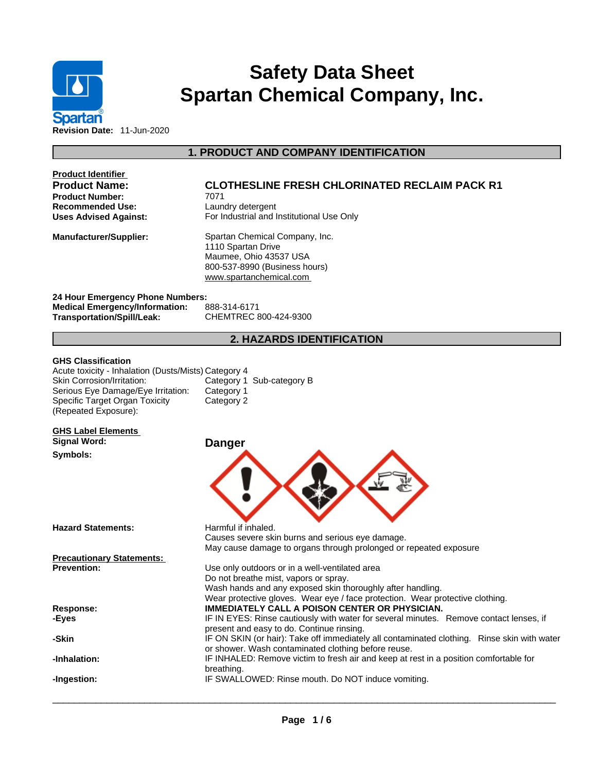

# **Safety Data Sheet Spartan Chemical Company, Inc.**

**1. PRODUCT AND COMPANY IDENTIFICATION** 

| <b>Product Identifier</b>                                                                                                                                                                                       |                                                                                                                                            |
|-----------------------------------------------------------------------------------------------------------------------------------------------------------------------------------------------------------------|--------------------------------------------------------------------------------------------------------------------------------------------|
| <b>Product Name:</b>                                                                                                                                                                                            | <b>CLOTHESLINE FRESH CHLORINATED RECLAIM PACK R1</b>                                                                                       |
| <b>Product Number:</b>                                                                                                                                                                                          | 7071                                                                                                                                       |
| <b>Recommended Use:</b>                                                                                                                                                                                         | Laundry detergent                                                                                                                          |
| Uses Advised Against:                                                                                                                                                                                           | For Industrial and Institutional Use Only                                                                                                  |
| <b>Manufacturer/Supplier:</b>                                                                                                                                                                                   | Spartan Chemical Company, Inc.<br>1110 Spartan Drive<br>Maumee, Ohio 43537 USA<br>800-537-8990 (Business hours)<br>www.spartanchemical.com |
| 24 Hour Emergency Phone Numbers:                                                                                                                                                                                |                                                                                                                                            |
| <b>Medical Emergency/Information:</b>                                                                                                                                                                           | 888-314-6171                                                                                                                               |
| Transportation/Spill/Leak:                                                                                                                                                                                      | CHEMTREC 800-424-9300                                                                                                                      |
|                                                                                                                                                                                                                 | <b>2. HAZARDS IDENTIFICATION</b>                                                                                                           |
| <b>GHS Classification</b><br>Acute toxicity - Inhalation (Dusts/Mists) Category 4<br>Skin Corrosion/Irritation:<br>Serious Eye Damage/Eye Irritation:<br>Specific Target Organ Toxicity<br>(Repeated Exposure): | Category 1 Sub-category B<br>Category 1<br>Category 2                                                                                      |

**GHS Label Elements Signal Word: Danger** 

**Symbols:** 

**Hazard Statements:** Harmful if inhaled.

**Precautionary Statements:**



Do not breathe mist, vapors or spray.<br>Wash hands and any exposed skin thoroughly after handling. Wear protective gloves. Wear eye / face protection. Wear protective clothing. **Response: IMMEDIATELY CALL A POISON CENTER OR PHYSICIAN. -Eyes** IF IN EYES: Rinse cautiously with water forseveral minutes. Remove contact lenses, if present and easy to do. Continue rinsing. **-Skin** IF ON SKIN (or hair): Take off immediately all contaminated clothing. Rinse skin with water or shower. Wash contaminated clothing before reuse. **-Inhalation:** IF INHALED: Remove victim to fresh air and keep atrest in a position comfortable for breathing. **-Ingestion:** IF SWALLOWED: Rinse mouth. Do NOT induce vomiting.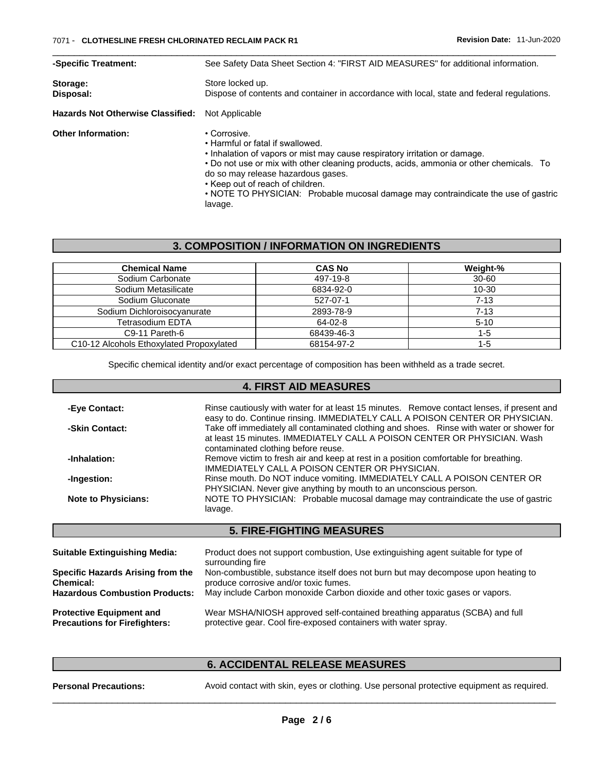| -Specific Treatment:                     | See Safety Data Sheet Section 4: "FIRST AID MEASURES" for additional information.                                                                                                                                                                                                                                                                                                                    |  |  |
|------------------------------------------|------------------------------------------------------------------------------------------------------------------------------------------------------------------------------------------------------------------------------------------------------------------------------------------------------------------------------------------------------------------------------------------------------|--|--|
| Storage:<br>Disposal:                    | Store locked up.<br>Dispose of contents and container in accordance with local, state and federal regulations.                                                                                                                                                                                                                                                                                       |  |  |
| <b>Hazards Not Otherwise Classified:</b> | Not Applicable                                                                                                                                                                                                                                                                                                                                                                                       |  |  |
| <b>Other Information:</b>                | • Corrosive.<br>• Harmful or fatal if swallowed.<br>. Inhalation of vapors or mist may cause respiratory irritation or damage.<br>• Do not use or mix with other cleaning products, acids, ammonia or other chemicals. To<br>do so may release hazardous gases.<br>• Keep out of reach of children.<br>• NOTE TO PHYSICIAN: Probable mucosal damage may contraindicate the use of gastric<br>lavage. |  |  |

## **3. COMPOSITION / INFORMATION ON INGREDIENTS**

| <b>Chemical Name</b>                     | <b>CAS No</b> | Weight-%  |
|------------------------------------------|---------------|-----------|
| Sodium Carbonate                         | 497-19-8      | $30 - 60$ |
| Sodium Metasilicate                      | 6834-92-0     | 10-30     |
| Sodium Gluconate                         | 527-07-1      | $7 - 13$  |
| Sodium Dichloroisocyanurate              | 2893-78-9     | $7 - 13$  |
| Tetrasodium EDTA                         | $64-02-8$     | $5 - 10$  |
| C9-11 Pareth-6                           | 68439-46-3    | 1-5       |
| C10-12 Alcohols Ethoxylated Propoxylated | 68154-97-2    | 1-5       |

Specific chemical identity and/or exact percentage of composition has been withheld as a trade secret.

## **4. FIRST AID MEASURES**

| -Eye Contact:              | Rinse cautiously with water for at least 15 minutes. Remove contact lenses, if present and<br>easy to do. Continue rinsing. IMMEDIATELY CALL A POISON CENTER OR PHYSICIAN.                                  |
|----------------------------|-------------------------------------------------------------------------------------------------------------------------------------------------------------------------------------------------------------|
| -Skin Contact:             | Take off immediately all contaminated clothing and shoes. Rinse with water or shower for<br>at least 15 minutes. IMMEDIATELY CALL A POISON CENTER OR PHYSICIAN. Wash<br>contaminated clothing before reuse. |
| -Inhalation:               | Remove victim to fresh air and keep at rest in a position comfortable for breathing.<br>IMMEDIATELY CALL A POISON CENTER OR PHYSICIAN.                                                                      |
| -Ingestion:                | Rinse mouth. Do NOT induce vomiting. IMMEDIATELY CALL A POISON CENTER OR<br>PHYSICIAN. Never give anything by mouth to an unconscious person.                                                               |
| <b>Note to Physicians:</b> | NOTE TO PHYSICIAN: Probable mucosal damage may contraindicate the use of gastric<br>lavage.                                                                                                                 |

## **5. FIRE-FIGHTING MEASURES**

| <b>Suitable Extinguishing Media:</b>  | Product does not support combustion, Use extinguishing agent suitable for type of<br>surrounding fire |
|---------------------------------------|-------------------------------------------------------------------------------------------------------|
| Specific Hazards Arising from the     | Non-combustible, substance itself does not burn but may decompose upon heating to                     |
| <b>Chemical:</b>                      | produce corrosive and/or toxic fumes.                                                                 |
| <b>Hazardous Combustion Products:</b> | May include Carbon monoxide Carbon dioxide and other toxic gases or vapors.                           |
| <b>Protective Equipment and</b>       | Wear MSHA/NIOSH approved self-contained breathing apparatus (SCBA) and full                           |
| <b>Precautions for Firefighters:</b>  | protective gear. Cool fire-exposed containers with water spray.                                       |

# **6. ACCIDENTAL RELEASE MEASURES**

**Personal Precautions:** Avoid contact with skin, eyes or clothing. Use personal protective equipment as required.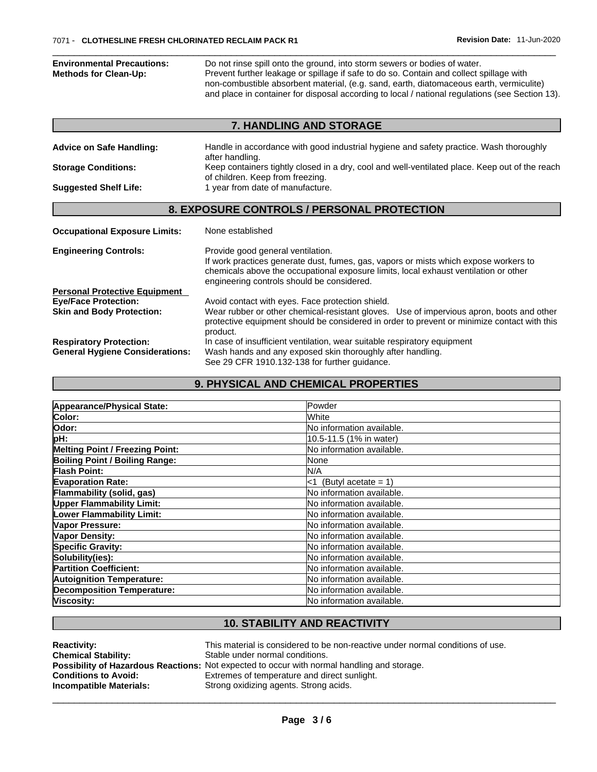| <b>Environmental Precautions:</b><br><b>Methods for Clean-Up:</b> | Do not rinse spill onto the ground, into storm sewers or bodies of water.<br>Prevent further leakage or spillage if safe to do so. Contain and collect spillage with<br>non-combustible absorbent material, (e.g. sand, earth, diatomaceous earth, vermiculite)<br>and place in container for disposal according to local / national regulations (see Section 13). |  |  |  |
|-------------------------------------------------------------------|--------------------------------------------------------------------------------------------------------------------------------------------------------------------------------------------------------------------------------------------------------------------------------------------------------------------------------------------------------------------|--|--|--|
|                                                                   | 7. HANDLING AND STORAGE                                                                                                                                                                                                                                                                                                                                            |  |  |  |
| <b>Advice on Safe Handling:</b>                                   | Handle in accordance with good industrial hygiene and safety practice. Wash thoroughly<br>after handling.                                                                                                                                                                                                                                                          |  |  |  |
| <b>Storage Conditions:</b>                                        | Keep containers tightly closed in a dry, cool and well-ventilated place. Keep out of the reach<br>of children. Keep from freezing.                                                                                                                                                                                                                                 |  |  |  |
| <b>Suggested Shelf Life:</b>                                      | 1 year from date of manufacture.                                                                                                                                                                                                                                                                                                                                   |  |  |  |
|                                                                   | 8. EXPOSURE CONTROLS / PERSONAL PROTECTION                                                                                                                                                                                                                                                                                                                         |  |  |  |
| <b>Occupational Exposure Limits:</b>                              | None established                                                                                                                                                                                                                                                                                                                                                   |  |  |  |
| <b>Engineering Controls:</b>                                      | Provide good general ventilation.<br>If work practices generate dust, fumes, gas, vapors or mists which expose workers to<br>chemicals above the occupational exposure limits, local exhaust ventilation or other<br>engineering controls should be considered.                                                                                                    |  |  |  |
| <b>Personal Protective Equipment</b>                              |                                                                                                                                                                                                                                                                                                                                                                    |  |  |  |
| <b>Eve/Face Protection:</b>                                       | Avoid contact with eyes. Face protection shield.                                                                                                                                                                                                                                                                                                                   |  |  |  |
| <b>Skin and Body Protection:</b>                                  | Wear rubber or other chemical-resistant gloves. Use of impervious apron, boots and other<br>protective equipment should be considered in order to prevent or minimize contact with this<br>product.                                                                                                                                                                |  |  |  |
| <b>Respiratory Protection:</b>                                    | In case of insufficient ventilation, wear suitable respiratory equipment                                                                                                                                                                                                                                                                                           |  |  |  |
| <b>General Hygiene Considerations:</b>                            | Wash hands and any exposed skin thoroughly after handling.<br>See 29 CFR 1910.132-138 for further guidance.                                                                                                                                                                                                                                                        |  |  |  |

# **9. PHYSICAL AND CHEMICAL PROPERTIES**

| Powder                           |
|----------------------------------|
| lWhite                           |
| No information available.        |
| 10.5-11.5 (1% in water)          |
| No information available.        |
| None                             |
| N/A                              |
| (Butyl acetate = $1$ )<br>-1     |
| No information available.        |
| No information available.        |
| No information available.        |
| No information available.        |
| <b>No information available.</b> |
| No information available.        |
| No information available.        |
| No information available.        |
| No information available.        |
| No information available.        |
| No information available.        |
|                                  |

# **10. STABILITY AND REACTIVITY**

| <b>Reactivity:</b><br><b>Chemical Stability:</b> | This material is considered to be non-reactive under normal conditions of use.<br>Stable under normal conditions. |
|--------------------------------------------------|-------------------------------------------------------------------------------------------------------------------|
|                                                  | <b>Possibility of Hazardous Reactions:</b> Not expected to occur with normal handling and storage.                |
| <b>Conditions to Avoid:</b>                      | Extremes of temperature and direct sunlight.                                                                      |
| Incompatible Materials:                          | Strong oxidizing agents. Strong acids.                                                                            |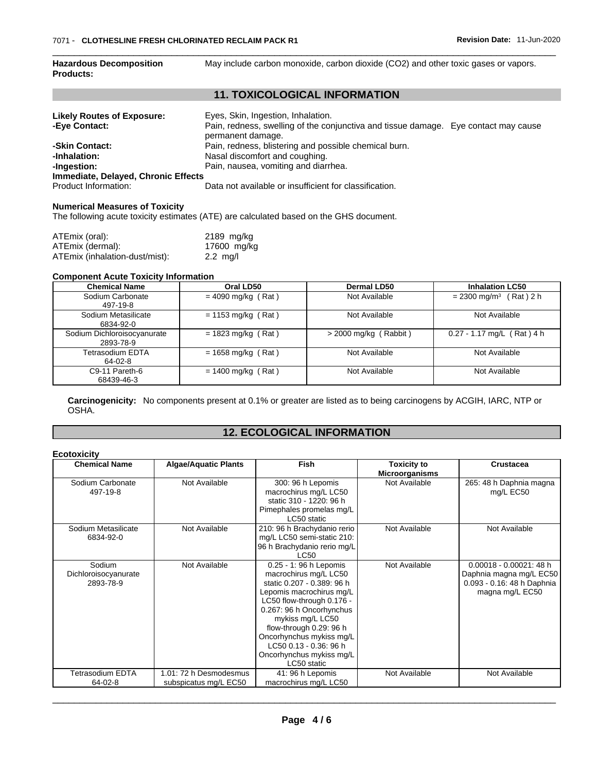| <b>Hazardous Decomposition</b><br><b>Products:</b> | May include carbon monoxide, carbon dioxide (CO2) and other toxic gases or vapors.                       |  |  |  |
|----------------------------------------------------|----------------------------------------------------------------------------------------------------------|--|--|--|
|                                                    | <b>11. TOXICOLOGICAL INFORMATION</b>                                                                     |  |  |  |
| <b>Likely Routes of Exposure:</b>                  | Eyes, Skin, Ingestion, Inhalation.                                                                       |  |  |  |
| -Eye Contact:                                      | Pain, redness, swelling of the conjunctiva and tissue damage. Eye contact may cause<br>permanent damage. |  |  |  |
| -Skin Contact:                                     | Pain, redness, blistering and possible chemical burn.                                                    |  |  |  |
| -Inhalation:                                       | Nasal discomfort and coughing.                                                                           |  |  |  |
| -Ingestion:                                        | Pain, nausea, vomiting and diarrhea.                                                                     |  |  |  |
| Immediate, Delayed, Chronic Effects                |                                                                                                          |  |  |  |
| Product Information:                               | Data not available or insufficient for classification.                                                   |  |  |  |

#### **Numerical Measures of Toxicity**

The following acute toxicity estimates (ATE) are calculated based on the GHS document.

| ATEmix (oral):                 | 2189 mg/kg         |  |
|--------------------------------|--------------------|--|
| ATEmix (dermal):               | 17600 mg/kg        |  |
| ATEmix (inhalation-dust/mist): | $2.2 \text{ mg/l}$ |  |

#### **Component Acute Toxicity Information**

| <b>Chemical Name</b>                     | Oral LD50<br>Dermal LD50     |                         | <b>Inhalation LC50</b>               |  |
|------------------------------------------|------------------------------|-------------------------|--------------------------------------|--|
| Sodium Carbonate<br>497-19-8             | $= 4090$ mg/kg (Rat)         | Not Available           | $= 2300$ mg/m <sup>3</sup> (Rat) 2 h |  |
| Sodium Metasilicate<br>6834-92-0         | $= 1153$ mg/kg (Rat)         | Not Available           | Not Available                        |  |
| Sodium Dichloroisocyanurate<br>2893-78-9 | $= 1823$ mg/kg (Rat)         | $>$ 2000 mg/kg (Rabbit) | $0.27 - 1.17$ mg/L (Rat) 4 h         |  |
| Tetrasodium EDTA<br>64-02-8              | $= 1658 \text{ mg/kg}$ (Rat) | Not Available           | Not Available                        |  |
| C9-11 Pareth-6<br>68439-46-3             | $= 1400$ mg/kg (Rat)         | Not Available           | Not Available                        |  |

**Carcinogenicity:** No components present at 0.1% or greater arelisted as to being carcinogens by ACGIH, IARC, NTP or OSHA.

# **12. ECOLOGICAL INFORMATION**

| <b>Ecotoxicity</b>                          |                                                 |                                                                                                                                                                                                                                                                                                                    |                                             |                                                                                                        |
|---------------------------------------------|-------------------------------------------------|--------------------------------------------------------------------------------------------------------------------------------------------------------------------------------------------------------------------------------------------------------------------------------------------------------------------|---------------------------------------------|--------------------------------------------------------------------------------------------------------|
| <b>Chemical Name</b>                        | <b>Algae/Aquatic Plants</b>                     | <b>Fish</b>                                                                                                                                                                                                                                                                                                        | <b>Toxicity to</b><br><b>Microorganisms</b> | <b>Crustacea</b>                                                                                       |
| Sodium Carbonate<br>497-19-8                | Not Available                                   | 300: 96 h Lepomis<br>macrochirus mg/L LC50<br>static 310 - 1220: 96 h<br>Pimephales promelas mg/L<br>LC50 static                                                                                                                                                                                                   | Not Available                               | 265: 48 h Daphnia magna<br>mg/L EC50                                                                   |
| Sodium Metasilicate<br>6834-92-0            | Not Available                                   | 210: 96 h Brachydanio rerio<br>mg/L LC50 semi-static 210:<br>96 h Brachydanio rerio mg/L<br>LC50                                                                                                                                                                                                                   | Not Available                               | Not Available                                                                                          |
| Sodium<br>Dichloroisocyanurate<br>2893-78-9 | Not Available                                   | 0.25 - 1: 96 h Lepomis<br>macrochirus mg/L LC50<br>static 0.207 - 0.389: 96 h<br>Lepomis macrochirus mg/L<br>LC50 flow-through 0.176 -<br>0.267: 96 h Oncorhynchus<br>mykiss mg/L LC50<br>flow-through 0.29: 96 h<br>Oncorhynchus mykiss mg/L<br>LC50 0.13 - 0.36: 96 h<br>Oncorhynchus mykiss mg/L<br>LC50 static | Not Available                               | $0.00018 - 0.00021$ : 48 h<br>Daphnia magna mg/L EC50<br>0.093 - 0.16: 48 h Daphnia<br>magna mg/L EC50 |
| <b>Tetrasodium EDTA</b><br>64-02-8          | 1.01: 72 h Desmodesmus<br>subspicatus mg/L EC50 | 41: 96 h Lepomis<br>macrochirus mg/L LC50                                                                                                                                                                                                                                                                          | Not Available                               | Not Available                                                                                          |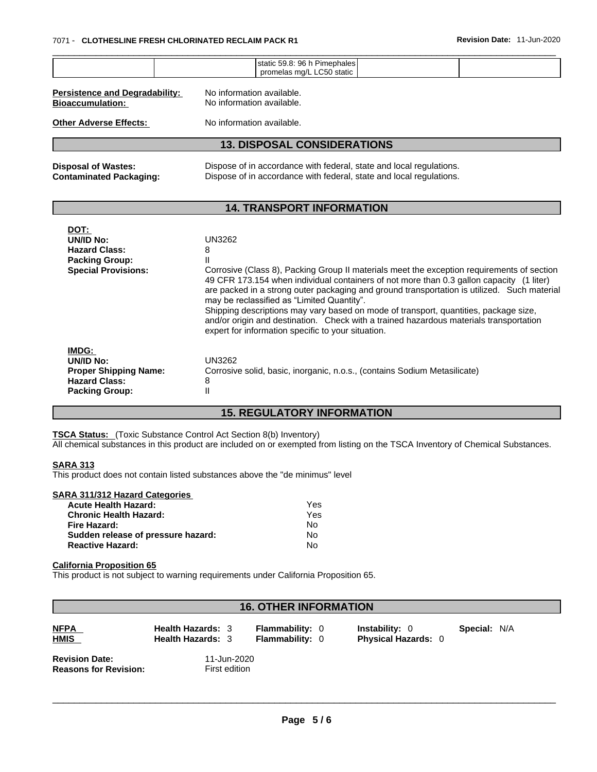|                                                                                                     | static 59.8: 96 h Pimephales<br>promelas mg/L LC50 static                                                                                                                                                                                                                                                                                                                                                                                                                                                                                                                                         |  |  |  |  |
|-----------------------------------------------------------------------------------------------------|---------------------------------------------------------------------------------------------------------------------------------------------------------------------------------------------------------------------------------------------------------------------------------------------------------------------------------------------------------------------------------------------------------------------------------------------------------------------------------------------------------------------------------------------------------------------------------------------------|--|--|--|--|
| <b>Persistence and Degradability:</b><br><b>Bioaccumulation:</b>                                    | No information available.<br>No information available.                                                                                                                                                                                                                                                                                                                                                                                                                                                                                                                                            |  |  |  |  |
| No information available.<br><b>Other Adverse Effects:</b>                                          |                                                                                                                                                                                                                                                                                                                                                                                                                                                                                                                                                                                                   |  |  |  |  |
|                                                                                                     | <b>13. DISPOSAL CONSIDERATIONS</b>                                                                                                                                                                                                                                                                                                                                                                                                                                                                                                                                                                |  |  |  |  |
| <b>Disposal of Wastes:</b><br><b>Contaminated Packaging:</b>                                        | Dispose of in accordance with federal, state and local regulations.<br>Dispose of in accordance with federal, state and local regulations.                                                                                                                                                                                                                                                                                                                                                                                                                                                        |  |  |  |  |
|                                                                                                     | <b>14. TRANSPORT INFORMATION</b>                                                                                                                                                                                                                                                                                                                                                                                                                                                                                                                                                                  |  |  |  |  |
| DOT:<br>UN/ID No:<br><b>Hazard Class:</b><br><b>Packing Group:</b><br><b>Special Provisions:</b>    | <b>UN3262</b><br>8<br>Corrosive (Class 8), Packing Group II materials meet the exception requirements of section<br>49 CFR 173.154 when individual containers of not more than 0.3 gallon capacity (1 liter)<br>are packed in a strong outer packaging and ground transportation is utilized. Such material<br>may be reclassified as "Limited Quantity".<br>Shipping descriptions may vary based on mode of transport, quantities, package size,<br>and/or origin and destination. Check with a trained hazardous materials transportation<br>expert for information specific to your situation. |  |  |  |  |
| IMDG:<br>UN/ID No:<br><b>Proper Shipping Name:</b><br><b>Hazard Class:</b><br><b>Packing Group:</b> | <b>UN3262</b><br>Corrosive solid, basic, inorganic, n.o.s., (contains Sodium Metasilicate)<br>8<br>Ш                                                                                                                                                                                                                                                                                                                                                                                                                                                                                              |  |  |  |  |

## **15. REGULATORY INFORMATION**

**TSCA Status:** (Toxic Substance Control Act Section 8(b) Inventory)

All chemical substances in this product are included on or exempted from listing on the TSCA Inventory of Chemical Substances.

#### **SARA 313**

This product does not contain listed substances above the "de minimus" level

| SARA 311/312 Hazard Categories     |     |  |
|------------------------------------|-----|--|
| <b>Acute Health Hazard:</b>        | Yes |  |
| <b>Chronic Health Hazard:</b>      | Yes |  |
| Fire Hazard:                       | No  |  |
| Sudden release of pressure hazard: | No  |  |
| <b>Reactive Hazard:</b>            | N٥  |  |
|                                    |     |  |

## **California Proposition 65**

This product is not subject to warning requirements under California Proposition 65.

| <b>16. OTHER INFORMATION</b>                          |                                                      |                                                  |                                                     |                     |  |  |  |
|-------------------------------------------------------|------------------------------------------------------|--------------------------------------------------|-----------------------------------------------------|---------------------|--|--|--|
| <b>NFPA</b><br><b>HMIS</b>                            | <b>Health Hazards: 3</b><br><b>Health Hazards: 3</b> | <b>Flammability: 0</b><br><b>Flammability: 0</b> | <b>Instability: 0</b><br><b>Physical Hazards: 0</b> | <b>Special: N/A</b> |  |  |  |
| <b>Revision Date:</b><br><b>Reasons for Revision:</b> | 11-Jun-2020<br>First edition                         |                                                  |                                                     |                     |  |  |  |